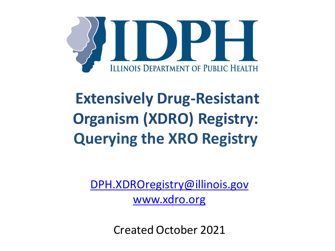

## **Extensively Drug-Resistant Organism (XDRO) Registry: Querying the XRO Registry**

[DPH.XDROregistry@illinois.gov](mailto:DPH.XDROregistry@illinois.gov)

[www.xdro.org](http://www.xdro.org/)

Created October 2021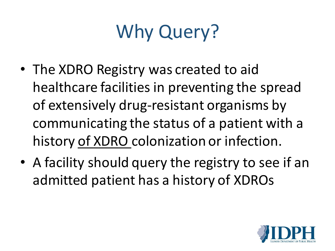# Why Query?

- The XDRO Registry was created to aid healthcare facilities in preventing the spread of extensively drug-resistant organisms by communicating the status of a patient with a history of XDRO colonization or infection.
- A facility should query the registry to see if an admitted patient has a history of XDROs

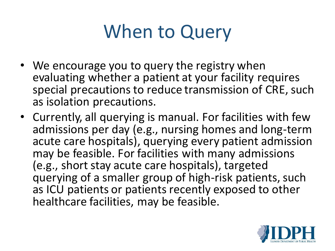# When to Query

- We encourage you to query the registry when evaluating whether a patient at your facility requires special precautions to reduce transmission of CRE, such as isolation precautions.
- Currently, all querying is manual. For facilities with few admissions per day (e.g., nursing homes and long-term acute care hospitals), querying every patient admission may be feasible. For facilities with many admissions (e.g., short stay acute care hospitals), targeted querying of a smaller group of high-risk patients, such as ICU patients or patients recently exposed to other healthcare facilities, may be feasible.

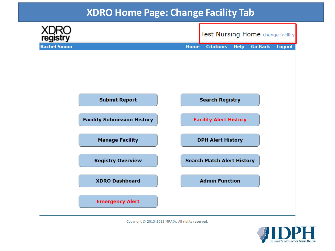### **XDRO Home Page: Change Facility Tab**



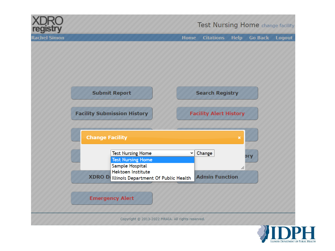

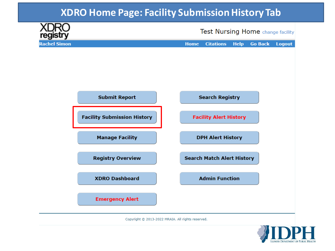### **XDRO Home Page: Facility Submission History Tab**



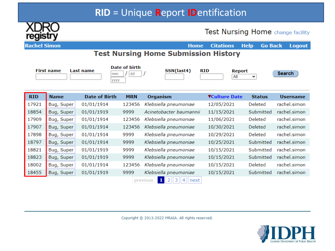### **RID** = Unique Report IDentification



Test Nursing Home change facility

| ັ<br><b>Rachel Simon</b> |                   |                      |               | <b>Home</b>                                 | <b>Citations</b>            | <b>Help</b><br><b>Go Back</b> | <b>Logout</b>   |
|--------------------------|-------------------|----------------------|---------------|---------------------------------------------|-----------------------------|-------------------------------|-----------------|
|                          |                   |                      |               | <b>Test Nursing Home Submission History</b> |                             |                               |                 |
|                          | <b>First name</b> | Last name            | Date of birth | SSN(last4)                                  | <b>RID</b><br><b>Report</b> |                               |                 |
|                          |                   | mm<br>уууу           | dd            |                                             | All                         | $\checkmark$                  | Search          |
|                          |                   |                      |               |                                             |                             |                               |                 |
| <b>RID</b>               | <b>Name</b>       | <b>Date of Birth</b> | <b>MRN</b>    | <b>Organism</b>                             | <b>VCulture Date</b>        | <b>Status</b>                 | <b>Username</b> |
| 17921                    | Bug, Super        | 01/01/1914           | 123456        | Klebsiella pneumoniae                       | 12/05/2021                  | Deleted                       | rachel.simon    |
| 18854                    | Bug, Super        | 01/01/1919           | 9999          | Acinetobacter baumannii                     | 11/15/2021                  | Submitted                     | rachel.simon    |
| 17909                    | Bug, Super        | 01/01/1914           | 123456        | Klebsiella pneumoniae                       | 11/06/2021                  | Deleted                       | rachel.simon    |
| 17907                    | Bug, Super        | 01/01/1914           | 123456        | Klebsiella pneumoniae                       | 10/30/2021                  | Deleted                       | rachel.simon    |
| 17898                    | Bug, Super        | 01/01/1914           | 9999          | Klebsiella pneumoniae                       | 10/29/2021                  | Deleted                       | rachel.simon    |
| 18797                    | Bug, Super        | 01/01/1914           | 9999          | Klebsiella pneumoniae                       | 10/25/2021                  | Submitted                     | rachel.simon    |
| 18821                    | Bug, Super        | 01/01/1919           | 9999          | Klebsiella pneumoniae                       | 10/15/2021                  | Submitted                     | rachel.simon    |
| 18823                    | Bug, Super        | 01/01/1919           | 9999          | Klebsiella pneumoniae                       | 10/15/2021                  | Submitted                     | rachel.simon    |
| 18002                    | Bug, Super        | 01/01/1914           | 123456        | Klebsiella pneumoniae                       | 10/15/2021                  | Deleted                       | rachel.simon    |
| 18455                    | Bug, Super        | 01/01/1919           | 9999          | Klebsiella pneumoniae                       | 10/15/2021                  | Submitted                     | rachel.simon    |
|                          |                   |                      |               |                                             |                             |                               |                 |

previous  $\begin{array}{|c|c|c|c|c|}\n\hline\n1 & 2 & 3 & 4 & next\n\end{array}$ 

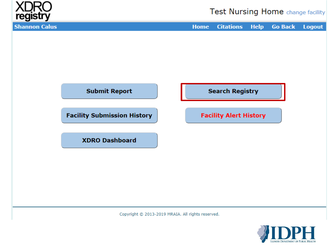

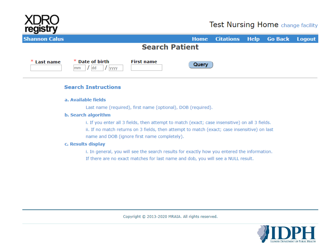

| __<br><b>Shannon Calus</b> |                                         |                       |       | Home Citations Help Go Back Logout |  |  |
|----------------------------|-----------------------------------------|-----------------------|-------|------------------------------------|--|--|
|                            |                                         | <b>Search Patient</b> |       |                                    |  |  |
| * Last name                | * Date of birth<br>$/$ dd<br>mm<br>уууу | <b>First name</b>     | Query |                                    |  |  |

### **Search Instructions**

#### a. Available fields

Last name (required), first name (optional), DOB (required).

### b. Search algorithm

i. If you enter all 3 fields, then attempt to match (exact; case insensitive) on all 3 fields.

ii. If no match returns on 3 fields, then attempt to match (exact; case insensitive) on last name and DOB (ignore first name completely).

### c. Results display

i. In general, you will see the search results for exactly how you entered the information. If there are no exact matches for last name and dob, you will see a NULL result.

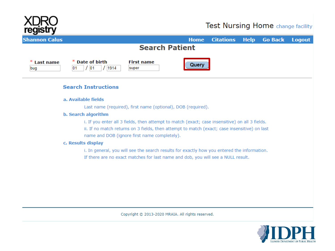

### Test Nursing Home change facility

| <b>Shannon Calus</b>                                                                                                                                                                                                                           | <b>Home</b> | <b>Citations</b> | <b>Help</b> | <b>Go Back</b> | <b>Logout</b> |
|------------------------------------------------------------------------------------------------------------------------------------------------------------------------------------------------------------------------------------------------|-------------|------------------|-------------|----------------|---------------|
| <b>Search Patient</b>                                                                                                                                                                                                                          |             |                  |             |                |               |
| <b>Date of birth</b><br><b>First name</b><br>ж,<br><b>Last name</b><br>01<br>1914<br>bug<br> 01<br>super                                                                                                                                       | Querv       |                  |             |                |               |
| <b>Search Instructions</b>                                                                                                                                                                                                                     |             |                  |             |                |               |
| a. Available fields                                                                                                                                                                                                                            |             |                  |             |                |               |
| Last name (required), first name (optional), DOB (required).                                                                                                                                                                                   |             |                  |             |                |               |
| b. Search algorithm                                                                                                                                                                                                                            |             |                  |             |                |               |
| i. If you enter all 3 fields, then attempt to match (exact; case insensitive) on all 3 fields.<br>ii. If no match returns on 3 fields, then attempt to match (exact; case insensitive) on last<br>name and DOB (ignore first name completely). |             |                  |             |                |               |
| c. Results display                                                                                                                                                                                                                             |             |                  |             |                |               |
| i. In general, you will see the search results for exactly how you entered the information.                                                                                                                                                    |             |                  |             |                |               |
| If there are no exact matches for last name and dob, you will see a NULL result.                                                                                                                                                               |             |                  |             |                |               |
|                                                                                                                                                                                                                                                |             |                  |             |                |               |

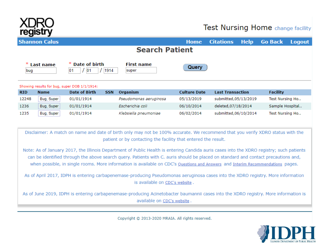

### Test Nursing Home change facility

|            | <b>Shannon Calus</b> |                                              |                                                                                                                                                                                                                                                                                                                                                                                                                                                                                                                                                                                                                                                                                                                                                                                                                                                                                                                                                                   | <b>Home</b>         | <b>Citations</b>        | <b>Help</b> | <b>Go Back</b>  | <b>Logout</b> |
|------------|----------------------|----------------------------------------------|-------------------------------------------------------------------------------------------------------------------------------------------------------------------------------------------------------------------------------------------------------------------------------------------------------------------------------------------------------------------------------------------------------------------------------------------------------------------------------------------------------------------------------------------------------------------------------------------------------------------------------------------------------------------------------------------------------------------------------------------------------------------------------------------------------------------------------------------------------------------------------------------------------------------------------------------------------------------|---------------------|-------------------------|-------------|-----------------|---------------|
|            |                      |                                              | <b>Search Patient</b>                                                                                                                                                                                                                                                                                                                                                                                                                                                                                                                                                                                                                                                                                                                                                                                                                                                                                                                                             |                     |                         |             |                 |               |
| bug        | <b>Last name</b>     | <b>Date of birth</b><br> 01<br>1914<br>01    | <b>First name</b><br>super                                                                                                                                                                                                                                                                                                                                                                                                                                                                                                                                                                                                                                                                                                                                                                                                                                                                                                                                        | Query               |                         |             |                 |               |
|            |                      | Showing results for bug, super DOB 1/1/1914: |                                                                                                                                                                                                                                                                                                                                                                                                                                                                                                                                                                                                                                                                                                                                                                                                                                                                                                                                                                   |                     |                         |             |                 |               |
| <b>RID</b> | <b>Name</b>          | <b>Date of Birth</b><br><b>SSN</b>           | Organism                                                                                                                                                                                                                                                                                                                                                                                                                                                                                                                                                                                                                                                                                                                                                                                                                                                                                                                                                          | <b>Culture Date</b> | <b>Last Transaction</b> |             | <b>Facility</b> |               |
| 12248      | Bug, Super           | 01/01/1914                                   | Pseudomonas aeruginosa                                                                                                                                                                                                                                                                                                                                                                                                                                                                                                                                                                                                                                                                                                                                                                                                                                                                                                                                            | 05/13/2019          | submitted, 05/13/2019   |             | Test Nursing Ho |               |
| 1236       | Bug, Super           | 01/01/1914                                   | Escherichia coli                                                                                                                                                                                                                                                                                                                                                                                                                                                                                                                                                                                                                                                                                                                                                                                                                                                                                                                                                  | 06/10/2014          | deleted, 07/18/2014     |             | Sample Hospital |               |
| 1235       | Bug, Super           | 01/01/1914                                   | Klebsiella pneumoniae                                                                                                                                                                                                                                                                                                                                                                                                                                                                                                                                                                                                                                                                                                                                                                                                                                                                                                                                             | 06/02/2014          | submitted, 06/10/2014   |             | Test Nursing Ho |               |
|            |                      |                                              | Disclaimer: A match on name and date of birth only may not be 100% accurate. We recommend that you verify XDRO status with the<br>patient or by contacting the facility that entered the result.<br>Note: As of January 2017, the Illinois Department of Public Health is entering Candida auris cases into the XDRO registry; such patients<br>can be identified through the above search query. Patients with C. auris should be placed on standard and contact precautions and,<br>when possible, in single rooms. More information is available on CDC's Questions and Answers and Interim Recommendations pages.<br>As of April 2017, IDPH is entering carbapenemase-producing Pseudomonas aeruginosa cases into the XDRO registry. More information<br>is available on CDC's website.<br>As of June 2019, IDPH is entering carbapenemase-producing Acinetobacter baumannii cases into the XDRO registry. More information is<br>available on CDC's website. |                     |                         |             |                 |               |

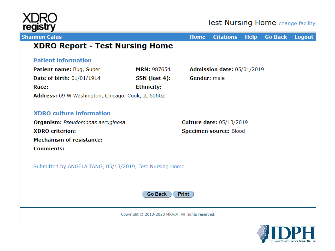

### **Test Nursing Home** change facility

**Shannon Calus** 

**Home Citations Help Go Back Logout** 

### **XDRO Report - Test Nursing Home**

### **Patient information**

| Patient name: Bug, Super                                 | <b>MRN: 987654</b> | Admission date: 05/01/2019 |
|----------------------------------------------------------|--------------------|----------------------------|
| <b>Date of birth: 01/01/1914</b>                         | SSN (last 4):      | <b>Gender:</b> male        |
| Race:                                                    | <b>Ethnicity:</b>  |                            |
| <b>Address:</b> 69 W Washington, Chicago, Cook, IL 60602 |                    |                            |

### **XDRO** culture information

Organism: Pseudomonas aeruginosa **XDRO** criterion: **Mechanism of resistance: Comments:** 

**Culture date: 05/13/2019** Specimen source: Blood

Submitted by ANGELA TANG, 05/13/2019, Test Nursing Home



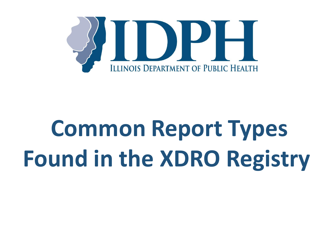

# **Common Report Types Found in the XDRO Registry**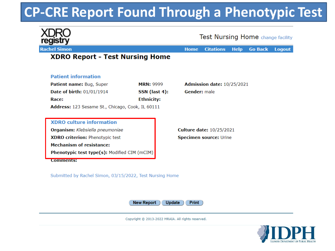### **CP-CRE Report Found Through a Phenotypic Test**

|                                                  |                   |                     | <b>Test Nursing Home</b> change facility |             |                |               |
|--------------------------------------------------|-------------------|---------------------|------------------------------------------|-------------|----------------|---------------|
| <b>Rachel Simon</b>                              |                   | <b>Home</b>         | <b>Citations</b>                         | <b>Help</b> | <b>Go Back</b> | <b>Logout</b> |
| <b>XDRO Report - Test Nursing Home</b>           |                   |                     |                                          |             |                |               |
| <b>Patient information</b>                       |                   |                     |                                          |             |                |               |
| Patient name: Bug, Super                         | <b>MRN: 9999</b>  |                     | <b>Admission date: 10/25/2021</b>        |             |                |               |
| Date of birth: 01/01/1914                        | SSN (last 4):     | <b>Gender:</b> male |                                          |             |                |               |
|                                                  |                   |                     |                                          |             |                |               |
| Race:                                            | <b>Ethnicity:</b> |                     |                                          |             |                |               |
| Address: 123 Sesame St., Chicago, Cook, IL 60111 |                   |                     |                                          |             |                |               |
|                                                  |                   |                     |                                          |             |                |               |
| <b>XDRO</b> culture information                  |                   |                     |                                          |             |                |               |
| Organism: Klebsiella pneumoniae                  |                   |                     | <b>Culture date: 10/25/2021</b>          |             |                |               |
| <b>XDRO criterion: Phenotypic test</b>           |                   |                     | <b>Specimen source: Urine</b>            |             |                |               |
| <b>Mechanism of resistance:</b>                  |                   |                     |                                          |             |                |               |

Submitted by Rachel Simon, 03/15/2022, Test Nursing Home



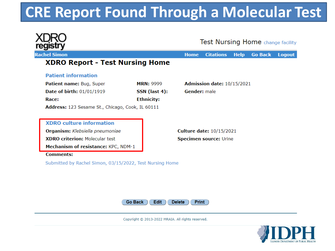### **CRE Report Found Through a Molecular Test**

|                                                          |                   |                     | <b>Test Nursing Home</b> change facility |             |                |               |
|----------------------------------------------------------|-------------------|---------------------|------------------------------------------|-------------|----------------|---------------|
| <b>Rachel Simon</b>                                      |                   | <b>Home</b>         | <b>Citations</b>                         | <b>Help</b> | <b>Go Back</b> | <b>Logout</b> |
| <b>XDRO Report - Test Nursing Home</b>                   |                   |                     |                                          |             |                |               |
| <b>Patient information</b>                               |                   |                     |                                          |             |                |               |
| Patient name: Bug, Super                                 | <b>MRN: 9999</b>  |                     | Admission date: 10/15/2021               |             |                |               |
| Date of birth: 01/01/1919                                | SSN (last 4):     | <b>Gender:</b> male |                                          |             |                |               |
| Race:                                                    | <b>Ethnicity:</b> |                     |                                          |             |                |               |
| Address: 123 Sesame St., Chicago, Cook, IL 60111         |                   |                     |                                          |             |                |               |
| <b>XDRO</b> culture information                          |                   |                     |                                          |             |                |               |
| Organism: Klebsiella pneumoniae                          |                   |                     | <b>Culture date: 10/15/2021</b>          |             |                |               |
|                                                          |                   |                     |                                          |             |                |               |
| <b>XDRO criterion: Molecular test</b>                    |                   |                     | <b>Specimen source: Urine</b>            |             |                |               |
| Mechanism of resistance: KPC, NDM-1                      |                   |                     |                                          |             |                |               |
| <b>Comments:</b>                                         |                   |                     |                                          |             |                |               |
| Submitted by Rachel Simon, 03/15/2022, Test Nursing Home |                   |                     |                                          |             |                |               |



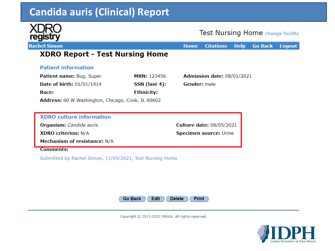### **Candida auris (Clinical) Report**



**Test Nursing Home** change facility

**Citations Go Back Help Logout Home** 

**Culture date: 08/05/2021** 

**Specimen source: Urine** 

### **XDRO Report - Test Nursing Home**

### **Patient information**

| <b>Patient name: Bug, Super</b>  | <b>MRN: 123456</b>                               | Admission date: 08/01/2021 |
|----------------------------------|--------------------------------------------------|----------------------------|
| <b>Date of birth: 01/01/1914</b> | SSN (last 4):                                    | <b>Gender:</b> male        |
| Race:                            | <b>Ethnicity:</b>                                |                            |
| .                                | $\sim$ $\sim$ $\sim$ $\sim$ $\sim$ $\sim$ $\sim$ |                            |

**Address:** 60 W Washington, Chicago, Cook, IL 60602

### **XDRO** culture information

Organism: Candida auris

**XDRO criterion: N/A** 

Mechanism of resistance: N/A

#### **Comments:**

Submitted by Rachel Simon, 11/09/2021, Test Nursing Home



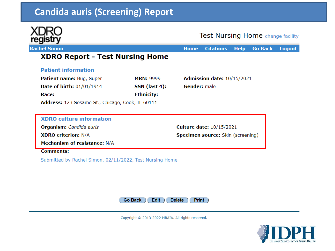### **Candida auris (Screening) Report**



**Rachel Simon** 

### Test Nursing Home change facility

**Citations Help Go Back Logout Home** 

**Culture date: 10/15/2021** 

Specimen source: Skin (screening)

### **XDRO Report - Test Nursing Home**

### **Patient information**

| Patient name: Bug, Super                         | <b>MRN: 9999</b>  | Admission date: 10/15/2021 |
|--------------------------------------------------|-------------------|----------------------------|
| <b>Date of birth: 01/01/1914</b>                 | SSN (last 4):     | <b>Gender:</b> male        |
| Race:                                            | <b>Ethnicity:</b> |                            |
| Address: 123 Sesame St., Chicago, Cook, IL 60111 |                   |                            |

### **XDRO** culture information

Organism: Candida auris

**XDRO criterion: N/A** 

Mechanism of resistance: N/A

**Comments:** 

Submitted by Rachel Simon, 02/11/2022, Test Nursing Home



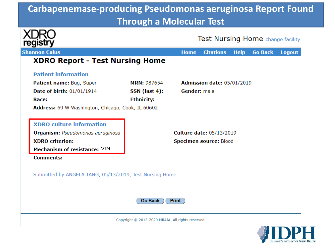### **Carbapenemase-producing Pseudomonas aeruginosa Report Found Through a Molecular Test**

| registry                                                                                                                                                                           |                                                   | <b>Test Nursing Home</b> change facility                                          |
|------------------------------------------------------------------------------------------------------------------------------------------------------------------------------------|---------------------------------------------------|-----------------------------------------------------------------------------------|
| <b>Shannon Calus</b>                                                                                                                                                               |                                                   | <b>Citations</b><br><b>Go Back</b><br><b>Logout</b><br><b>Home</b><br><b>Help</b> |
| <b>XDRO Report - Test Nursing Home</b>                                                                                                                                             |                                                   |                                                                                   |
| <b>Patient information</b>                                                                                                                                                         |                                                   |                                                                                   |
| Patient name: Bug, Super                                                                                                                                                           | <b>MRN: 987654</b>                                | Admission date: 05/01/2019                                                        |
| Date of birth: 01/01/1914                                                                                                                                                          | SSN (last 4):                                     | <b>Gender:</b> male                                                               |
| Race:                                                                                                                                                                              | <b>Ethnicity:</b>                                 |                                                                                   |
| Address: 69 W Washington, Chicago, Cook, IL 60602<br><b>XDRO culture information</b><br>Organism: Pseudomonas aeruginosa<br><b>XDRO</b> criterion:<br>Mechanism of resistance: VIM |                                                   | <b>Culture date: 05/13/2019</b><br>Specimen source: Blood                         |
| <b>Comments:</b><br>Submitted by ANGELA TANG, 05/13/2019, Test Nursing Home                                                                                                        | Go Back                                           | <b>Print</b>                                                                      |
|                                                                                                                                                                                    | Copyright @ 2013-2020 MRAIA. All rights reserved. |                                                                                   |

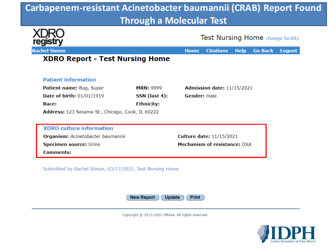### **Carbapenem-resistant Acinetobacter baumannii (CRAB) Report Found Through a Molecular Test**

|                                                  |                   | <b>Home</b>         | <b>Citations</b>                    | <b>Help</b> | <b>Go Back</b> |
|--------------------------------------------------|-------------------|---------------------|-------------------------------------|-------------|----------------|
| <b>XDRO Report - Test Nursing Home</b>           |                   |                     |                                     |             |                |
| <b>Patient information</b>                       |                   |                     |                                     |             |                |
| <b>Patient name: Bug, Super</b>                  | <b>MRN: 9999</b>  |                     | Admission date: 11/15/2021          |             |                |
| Date of birth: 01/01/1919                        | SSN (last 4):     | <b>Gender:</b> male |                                     |             |                |
| Race:                                            | <b>Ethnicity:</b> |                     |                                     |             |                |
| Address: 123 Sesame St., Chicago, Cook, IL 60222 |                   |                     |                                     |             |                |
|                                                  |                   |                     |                                     |             |                |
| <b>XDRO</b> culture information                  |                   |                     |                                     |             |                |
| Organism: Acinetobacter baumannii                |                   |                     | <b>Culture date: 11/15/2021</b>     |             |                |
| Specimen source: Urine                           |                   |                     | <b>Mechanism of resistance: OXA</b> |             |                |